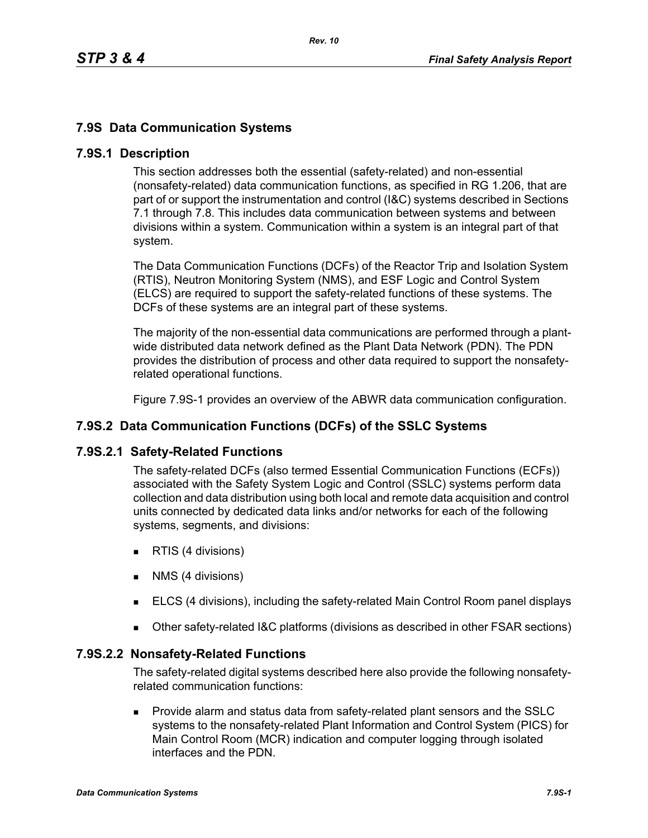## **7.9S Data Communication Systems**

### **7.9S.1 Description**

This section addresses both the essential (safety-related) and non-essential (nonsafety-related) data communication functions, as specified in RG 1.206, that are part of or support the instrumentation and control (I&C) systems described in Sections 7.1 through 7.8. This includes data communication between systems and between divisions within a system. Communication within a system is an integral part of that system.

The Data Communication Functions (DCFs) of the Reactor Trip and Isolation System (RTIS), Neutron Monitoring System (NMS), and ESF Logic and Control System (ELCS) are required to support the safety-related functions of these systems. The DCFs of these systems are an integral part of these systems.

The majority of the non-essential data communications are performed through a plantwide distributed data network defined as the Plant Data Network (PDN). The PDN provides the distribution of process and other data required to support the nonsafetyrelated operational functions.

Figure 7.9S-1 provides an overview of the ABWR data communication configuration.

## **7.9S.2 Data Communication Functions (DCFs) of the SSLC Systems**

### **7.9S.2.1 Safety-Related Functions**

The safety-related DCFs (also termed Essential Communication Functions (ECFs)) associated with the Safety System Logic and Control (SSLC) systems perform data collection and data distribution using both local and remote data acquisition and control units connected by dedicated data links and/or networks for each of the following systems, segments, and divisions:

- **RTIS (4 divisions)**
- **NMS** (4 divisions)
- ELCS (4 divisions), including the safety-related Main Control Room panel displays
- Other safety-related I&C platforms (divisions as described in other FSAR sections)

### **7.9S.2.2 Nonsafety-Related Functions**

The safety-related digital systems described here also provide the following nonsafetyrelated communication functions:

 Provide alarm and status data from safety-related plant sensors and the SSLC systems to the nonsafety-related Plant Information and Control System (PICS) for Main Control Room (MCR) indication and computer logging through isolated interfaces and the PDN.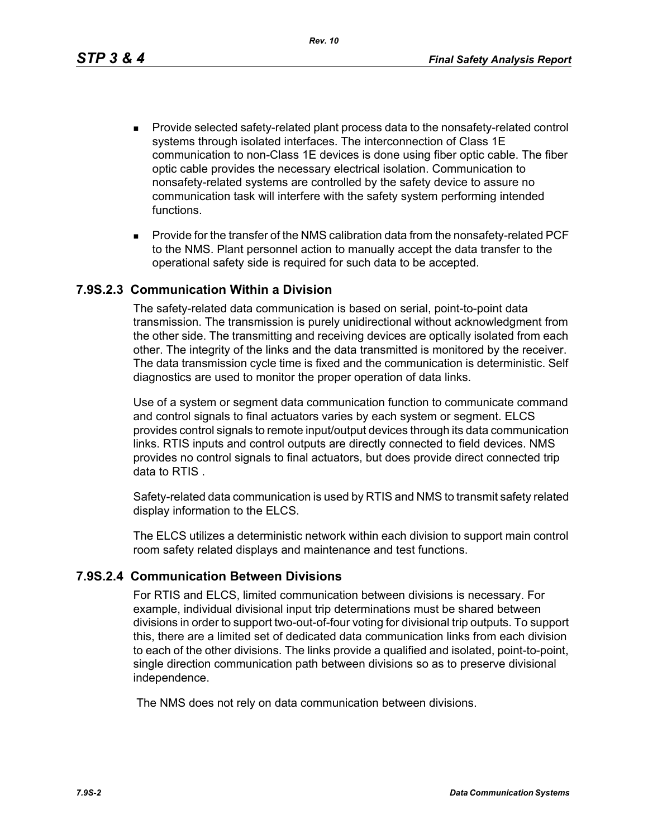*Rev. 10*

- **Provide selected safety-related plant process data to the nonsafety-related control** systems through isolated interfaces. The interconnection of Class 1E communication to non-Class 1E devices is done using fiber optic cable. The fiber optic cable provides the necessary electrical isolation. Communication to nonsafety-related systems are controlled by the safety device to assure no communication task will interfere with the safety system performing intended functions.
- **Provide for the transfer of the NMS calibration data from the nonsafety-related PCF** to the NMS. Plant personnel action to manually accept the data transfer to the operational safety side is required for such data to be accepted.

### **7.9S.2.3 Communication Within a Division**

The safety-related data communication is based on serial, point-to-point data transmission. The transmission is purely unidirectional without acknowledgment from the other side. The transmitting and receiving devices are optically isolated from each other. The integrity of the links and the data transmitted is monitored by the receiver. The data transmission cycle time is fixed and the communication is deterministic. Self diagnostics are used to monitor the proper operation of data links.

Use of a system or segment data communication function to communicate command and control signals to final actuators varies by each system or segment. ELCS provides control signals to remote input/output devices through its data communication links. RTIS inputs and control outputs are directly connected to field devices. NMS provides no control signals to final actuators, but does provide direct connected trip data to RTIS .

Safety-related data communication is used by RTIS and NMS to transmit safety related display information to the ELCS.

The ELCS utilizes a deterministic network within each division to support main control room safety related displays and maintenance and test functions.

### **7.9S.2.4 Communication Between Divisions**

For RTIS and ELCS, limited communication between divisions is necessary. For example, individual divisional input trip determinations must be shared between divisions in order to support two-out-of-four voting for divisional trip outputs. To support this, there are a limited set of dedicated data communication links from each division to each of the other divisions. The links provide a qualified and isolated, point-to-point, single direction communication path between divisions so as to preserve divisional independence.

The NMS does not rely on data communication between divisions.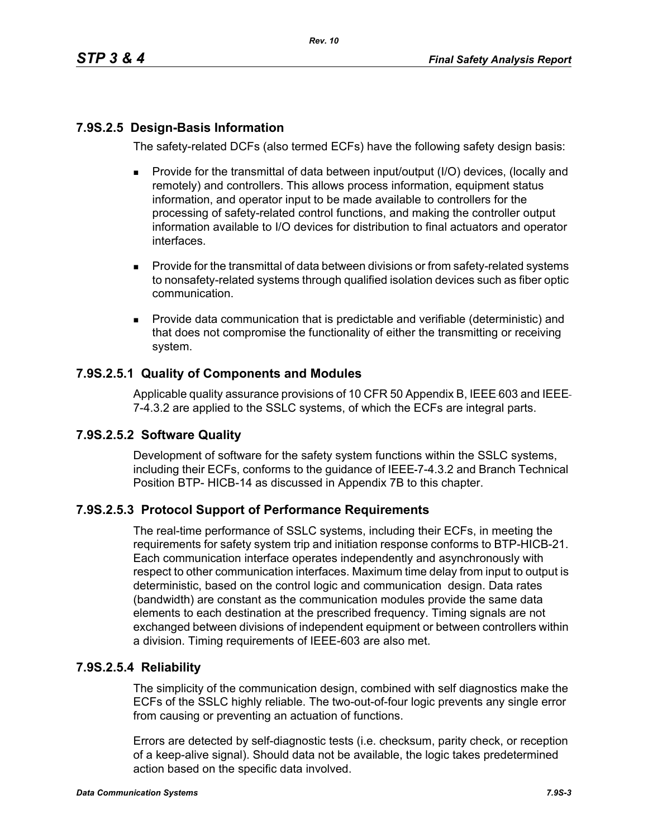# **7.9S.2.5 Design-Basis Information**

The safety-related DCFs (also termed ECFs) have the following safety design basis:

- Provide for the transmittal of data between input/output (I/O) devices, (locally and remotely) and controllers. This allows process information, equipment status information, and operator input to be made available to controllers for the processing of safety-related control functions, and making the controller output information available to I/O devices for distribution to final actuators and operator interfaces.
- **Provide for the transmittal of data between divisions or from safety-related systems** to nonsafety-related systems through qualified isolation devices such as fiber optic communication.
- **Provide data communication that is predictable and verifiable (deterministic) and** that does not compromise the functionality of either the transmitting or receiving system.

## **7.9S.2.5.1 Quality of Components and Modules**

Applicable quality assurance provisions of 10 CFR 50 Appendix B, IEEE-603 and IEEE-7-4.3.2 are applied to the SSLC systems, of which the ECFs are integral parts.

### **7.9S.2.5.2 Software Quality**

Development of software for the safety system functions within the SSLC systems, including their ECFs, conforms to the guidance of IEEE 7-4.3.2 and Branch Technical Position BTP- HICB-14 as discussed in Appendix 7B to this chapter.

## **7.9S.2.5.3 Protocol Support of Performance Requirements**

The real-time performance of SSLC systems, including their ECFs, in meeting the requirements for safety system trip and initiation response conforms to BTP-HICB-21. Each communication interface operates independently and asynchronously with respect to other communication interfaces. Maximum time delay from input to output is deterministic, based on the control logic and communication design. Data rates (bandwidth) are constant as the communication modules provide the same data elements to each destination at the prescribed frequency. Timing signals are not exchanged between divisions of independent equipment or between controllers within a division. Timing requirements of IEEE-603 are also met.

### **7.9S.2.5.4 Reliability**

The simplicity of the communication design, combined with self diagnostics make the ECFs of the SSLC highly reliable. The two-out-of-four logic prevents any single error from causing or preventing an actuation of functions.

Errors are detected by self-diagnostic tests (i.e. checksum, parity check, or reception of a keep-alive signal). Should data not be available, the logic takes predetermined action based on the specific data involved.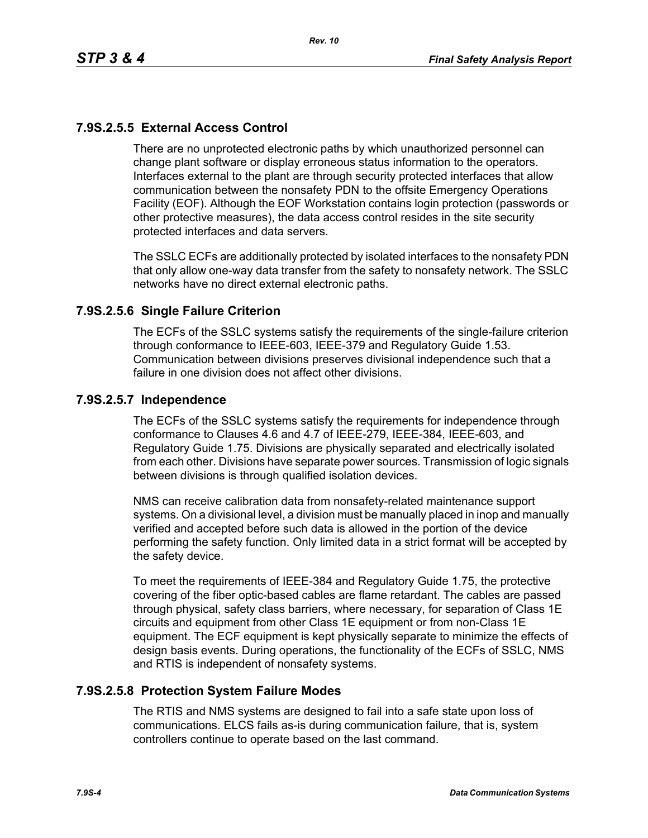# **7.9S.2.5.5 External Access Control**

There are no unprotected electronic paths by which unauthorized personnel can change plant software or display erroneous status information to the operators. Interfaces external to the plant are through security protected interfaces that allow communication between the nonsafety PDN to the offsite Emergency Operations Facility (EOF). Although the EOF Workstation contains login protection (passwords or other protective measures), the data access control resides in the site security protected interfaces and data servers.

The SSLC ECFs are additionally protected by isolated interfaces to the nonsafety PDN that only allow one-way data transfer from the safety to nonsafety network. The SSLC networks have no direct external electronic paths.

### **7.9S.2.5.6 Single Failure Criterion**

The ECFs of the SSLC systems satisfy the requirements of the single-failure criterion through conformance to IEEE-603, IEEE-379 and Regulatory Guide 1.53. Communication between divisions preserves divisional independence such that a failure in one division does not affect other divisions.

### **7.9S.2.5.7 Independence**

The ECFs of the SSLC systems satisfy the requirements for independence through conformance to Clauses 4.6 and 4.7 of IEEE-279, IEEE-384, IEEE-603, and Regulatory Guide 1.75. Divisions are physically separated and electrically isolated from each other. Divisions have separate power sources. Transmission of logic signals between divisions is through qualified isolation devices.

NMS can receive calibration data from nonsafety-related maintenance support systems. On a divisional level, a division must be manually placed in inop and manually verified and accepted before such data is allowed in the portion of the device performing the safety function. Only limited data in a strict format will be accepted by the safety device.

To meet the requirements of IEEE-384 and Regulatory Guide 1.75, the protective covering of the fiber optic-based cables are flame retardant. The cables are passed through physical, safety class barriers, where necessary, for separation of Class 1E circuits and equipment from other Class 1E equipment or from non-Class 1E equipment. The ECF equipment is kept physically separate to minimize the effects of design basis events. During operations, the functionality of the ECFs of SSLC, NMS and RTIS is independent of nonsafety systems.

### **7.9S.2.5.8 Protection System Failure Modes**

The RTIS and NMS systems are designed to fail into a safe state upon loss of communications. ELCS fails as-is during communication failure, that is, system controllers continue to operate based on the last command.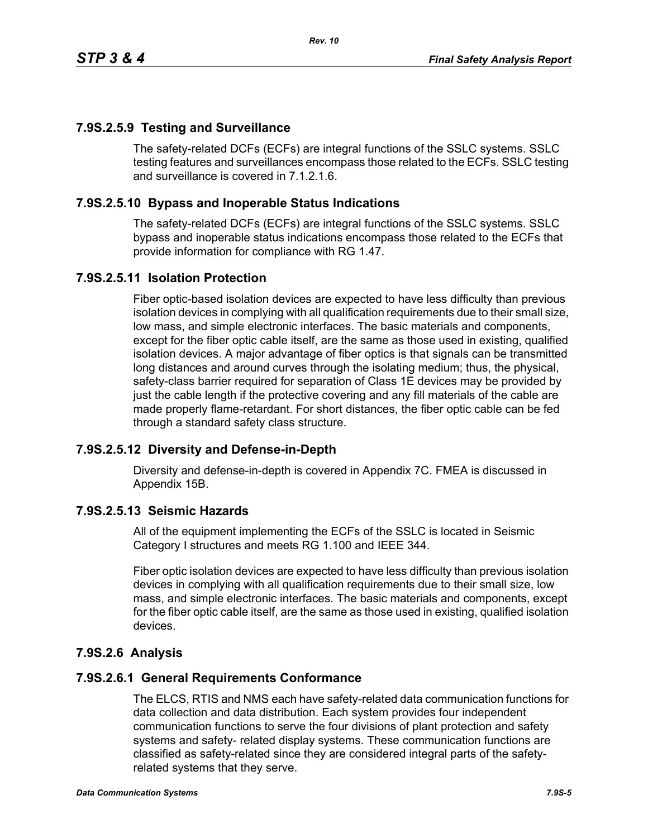## **7.9S.2.5.9 Testing and Surveillance**

The safety-related DCFs (ECFs) are integral functions of the SSLC systems. SSLC testing features and surveillances encompass those related to the ECFs. SSLC testing and surveillance is covered in 7.1.2.1.6.

## **7.9S.2.5.10 Bypass and Inoperable Status Indications**

The safety-related DCFs (ECFs) are integral functions of the SSLC systems. SSLC bypass and inoperable status indications encompass those related to the ECFs that provide information for compliance with RG 1.47.

### **7.9S.2.5.11 Isolation Protection**

Fiber optic-based isolation devices are expected to have less difficulty than previous isolation devices in complying with all qualification requirements due to their small size, low mass, and simple electronic interfaces. The basic materials and components, except for the fiber optic cable itself, are the same as those used in existing, qualified isolation devices. A major advantage of fiber optics is that signals can be transmitted long distances and around curves through the isolating medium; thus, the physical, safety-class barrier required for separation of Class 1E devices may be provided by just the cable length if the protective covering and any fill materials of the cable are made properly flame-retardant. For short distances, the fiber optic cable can be fed through a standard safety class structure.

### **7.9S.2.5.12 Diversity and Defense-in-Depth**

Diversity and defense-in-depth is covered in Appendix 7C. FMEA is discussed in Appendix 15B.

### **7.9S.2.5.13 Seismic Hazards**

All of the equipment implementing the ECFs of the SSLC is located in Seismic Category I structures and meets RG 1.100 and IEEE 344.

Fiber optic isolation devices are expected to have less difficulty than previous isolation devices in complying with all qualification requirements due to their small size, low mass, and simple electronic interfaces. The basic materials and components, except for the fiber optic cable itself, are the same as those used in existing, qualified isolation devices.

## **7.9S.2.6 Analysis**

### **7.9S.2.6.1 General Requirements Conformance**

The ELCS, RTIS and NMS each have safety-related data communication functions for data collection and data distribution. Each system provides four independent communication functions to serve the four divisions of plant protection and safety systems and safety- related display systems. These communication functions are classified as safety-related since they are considered integral parts of the safetyrelated systems that they serve.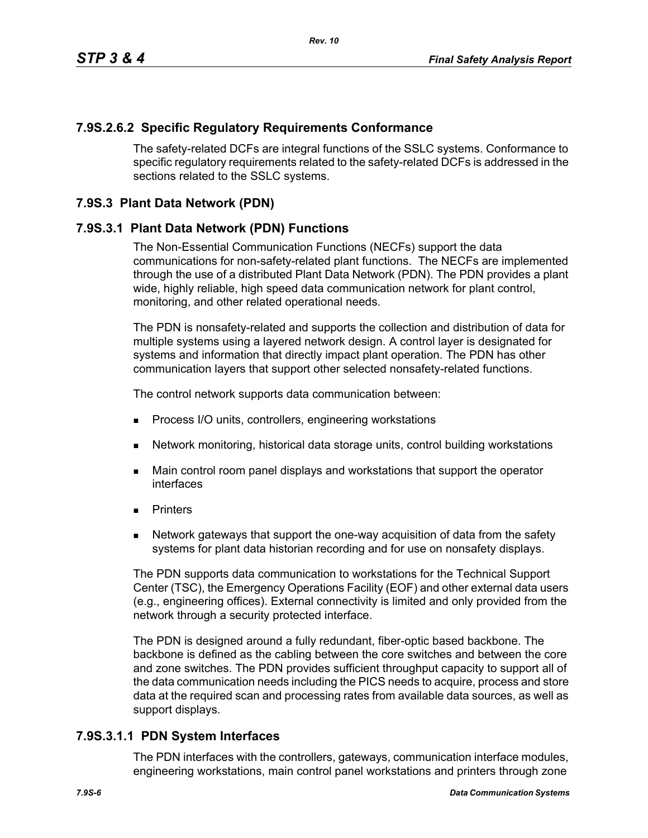### **7.9S.2.6.2 Specific Regulatory Requirements Conformance**

The safety-related DCFs are integral functions of the SSLC systems. Conformance to specific regulatory requirements related to the safety-related DCFs is addressed in the sections related to the SSLC systems.

### **7.9S.3 Plant Data Network (PDN)**

### **7.9S.3.1 Plant Data Network (PDN) Functions**

The Non-Essential Communication Functions (NECFs) support the data communications for non-safety-related plant functions. The NECFs are implemented through the use of a distributed Plant Data Network (PDN). The PDN provides a plant wide, highly reliable, high speed data communication network for plant control, monitoring, and other related operational needs.

The PDN is nonsafety-related and supports the collection and distribution of data for multiple systems using a layered network design. A control layer is designated for systems and information that directly impact plant operation. The PDN has other communication layers that support other selected nonsafety-related functions.

The control network supports data communication between:

- **Process I/O units, controllers, engineering workstations**
- Network monitoring, historical data storage units, control building workstations
- **Main control room panel displays and workstations that support the operator** interfaces
- **Printers**
- Network gateways that support the one-way acquisition of data from the safety systems for plant data historian recording and for use on nonsafety displays.

The PDN supports data communication to workstations for the Technical Support Center (TSC), the Emergency Operations Facility (EOF) and other external data users (e.g., engineering offices). External connectivity is limited and only provided from the network through a security protected interface.

The PDN is designed around a fully redundant, fiber-optic based backbone. The backbone is defined as the cabling between the core switches and between the core and zone switches. The PDN provides sufficient throughput capacity to support all of the data communication needs including the PICS needs to acquire, process and store data at the required scan and processing rates from available data sources, as well as support displays.

### **7.9S.3.1.1 PDN System Interfaces**

The PDN interfaces with the controllers, gateways, communication interface modules, engineering workstations, main control panel workstations and printers through zone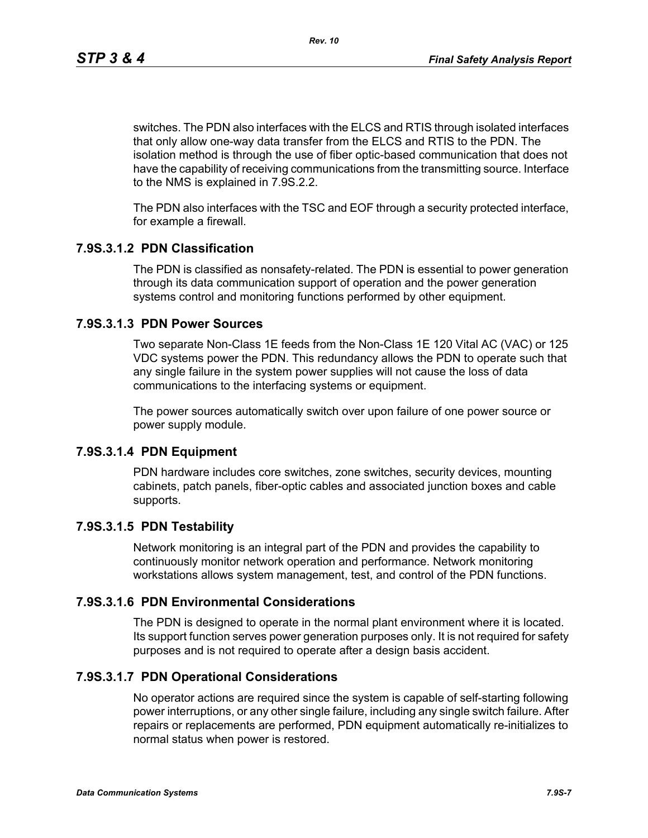switches. The PDN also interfaces with the ELCS and RTIS through isolated interfaces that only allow one-way data transfer from the ELCS and RTIS to the PDN. The isolation method is through the use of fiber optic-based communication that does not have the capability of receiving communications from the transmitting source. Interface to the NMS is explained in 7.9S.2.2.

The PDN also interfaces with the TSC and EOF through a security protected interface, for example a firewall.

### **7.9S.3.1.2 PDN Classification**

The PDN is classified as nonsafety-related. The PDN is essential to power generation through its data communication support of operation and the power generation systems control and monitoring functions performed by other equipment.

### **7.9S.3.1.3 PDN Power Sources**

Two separate Non-Class 1E feeds from the Non-Class 1E 120 Vital AC (VAC) or 125 VDC systems power the PDN. This redundancy allows the PDN to operate such that any single failure in the system power supplies will not cause the loss of data communications to the interfacing systems or equipment.

The power sources automatically switch over upon failure of one power source or power supply module.

### **7.9S.3.1.4 PDN Equipment**

PDN hardware includes core switches, zone switches, security devices, mounting cabinets, patch panels, fiber-optic cables and associated junction boxes and cable supports.

### **7.9S.3.1.5 PDN Testability**

Network monitoring is an integral part of the PDN and provides the capability to continuously monitor network operation and performance. Network monitoring workstations allows system management, test, and control of the PDN functions.

### **7.9S.3.1.6 PDN Environmental Considerations**

The PDN is designed to operate in the normal plant environment where it is located. Its support function serves power generation purposes only. It is not required for safety purposes and is not required to operate after a design basis accident.

### **7.9S.3.1.7 PDN Operational Considerations**

No operator actions are required since the system is capable of self-starting following power interruptions, or any other single failure, including any single switch failure. After repairs or replacements are performed, PDN equipment automatically re-initializes to normal status when power is restored.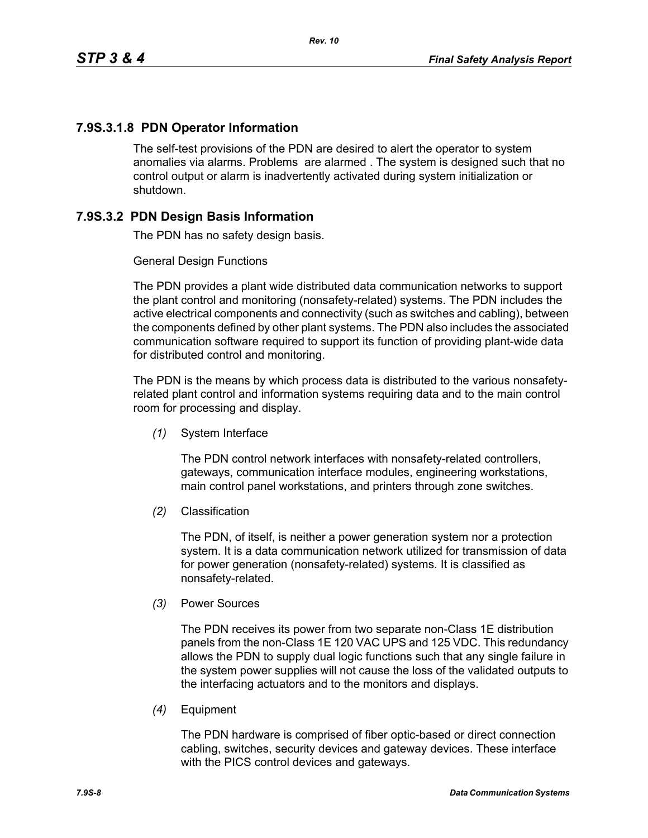## **7.9S.3.1.8 PDN Operator Information**

The self-test provisions of the PDN are desired to alert the operator to system anomalies via alarms. Problems are alarmed . The system is designed such that no control output or alarm is inadvertently activated during system initialization or shutdown.

### **7.9S.3.2 PDN Design Basis Information**

The PDN has no safety design basis.

#### General Design Functions

The PDN provides a plant wide distributed data communication networks to support the plant control and monitoring (nonsafety-related) systems. The PDN includes the active electrical components and connectivity (such as switches and cabling), between the components defined by other plant systems. The PDN also includes the associated communication software required to support its function of providing plant-wide data for distributed control and monitoring.

The PDN is the means by which process data is distributed to the various nonsafetyrelated plant control and information systems requiring data and to the main control room for processing and display.

*(1)* System Interface

The PDN control network interfaces with nonsafety-related controllers, gateways, communication interface modules, engineering workstations, main control panel workstations, and printers through zone switches.

*(2)* Classification

The PDN, of itself, is neither a power generation system nor a protection system. It is a data communication network utilized for transmission of data for power generation (nonsafety-related) systems. It is classified as nonsafety-related.

*(3)* Power Sources

The PDN receives its power from two separate non-Class 1E distribution panels from the non-Class 1E 120 VAC UPS and 125 VDC. This redundancy allows the PDN to supply dual logic functions such that any single failure in the system power supplies will not cause the loss of the validated outputs to the interfacing actuators and to the monitors and displays.

*(4)* Equipment

The PDN hardware is comprised of fiber optic-based or direct connection cabling, switches, security devices and gateway devices. These interface with the PICS control devices and gateways.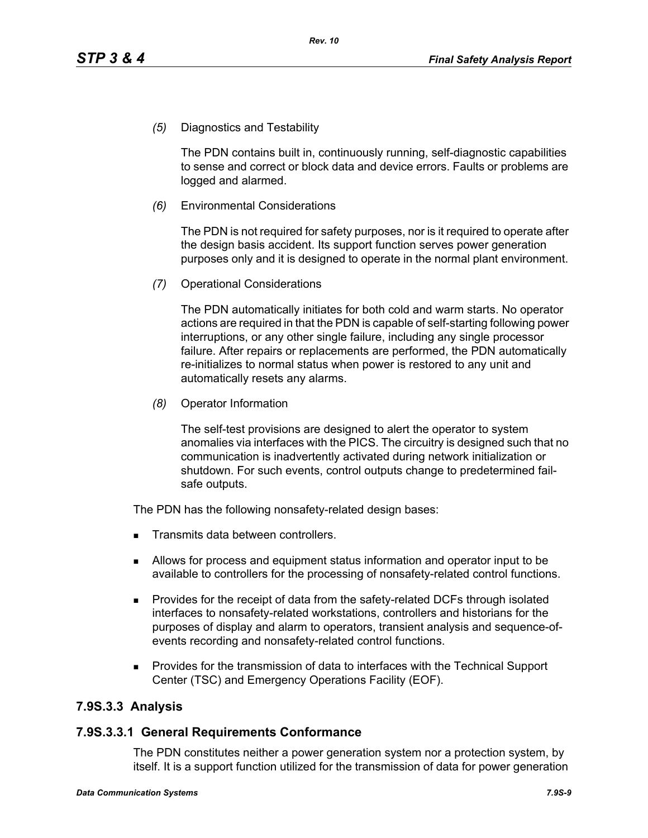*(5)* Diagnostics and Testability

The PDN contains built in, continuously running, self-diagnostic capabilities to sense and correct or block data and device errors. Faults or problems are logged and alarmed.

*(6)* Environmental Considerations

The PDN is not required for safety purposes, nor is it required to operate after the design basis accident. Its support function serves power generation purposes only and it is designed to operate in the normal plant environment.

*(7)* Operational Considerations

The PDN automatically initiates for both cold and warm starts. No operator actions are required in that the PDN is capable of self-starting following power interruptions, or any other single failure, including any single processor failure. After repairs or replacements are performed, the PDN automatically re-initializes to normal status when power is restored to any unit and automatically resets any alarms.

*(8)* Operator Information

The self-test provisions are designed to alert the operator to system anomalies via interfaces with the PICS. The circuitry is designed such that no communication is inadvertently activated during network initialization or shutdown. For such events, control outputs change to predetermined failsafe outputs.

The PDN has the following nonsafety-related design bases:

- Transmits data between controllers.
- Allows for process and equipment status information and operator input to be available to controllers for the processing of nonsafety-related control functions.
- **Provides for the receipt of data from the safety-related DCFs through isolated** interfaces to nonsafety-related workstations, controllers and historians for the purposes of display and alarm to operators, transient analysis and sequence-ofevents recording and nonsafety-related control functions.
- Provides for the transmission of data to interfaces with the Technical Support Center (TSC) and Emergency Operations Facility (EOF).

## **7.9S.3.3 Analysis**

### **7.9S.3.3.1 General Requirements Conformance**

The PDN constitutes neither a power generation system nor a protection system, by itself. It is a support function utilized for the transmission of data for power generation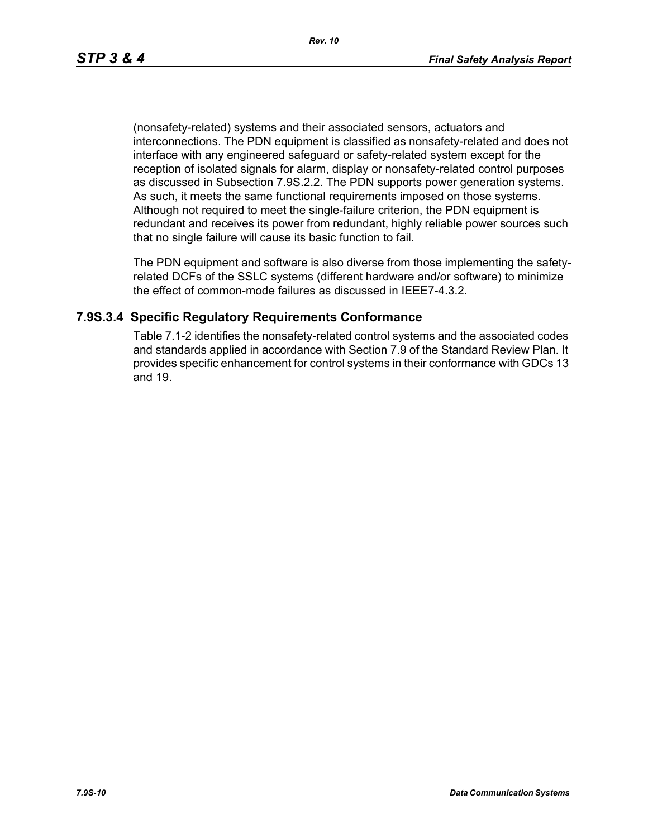(nonsafety-related) systems and their associated sensors, actuators and interconnections. The PDN equipment is classified as nonsafety-related and does not interface with any engineered safeguard or safety-related system except for the reception of isolated signals for alarm, display or nonsafety-related control purposes as discussed in Subsection 7.9S.2.2. The PDN supports power generation systems. As such, it meets the same functional requirements imposed on those systems. Although not required to meet the single-failure criterion, the PDN equipment is redundant and receives its power from redundant, highly reliable power sources such that no single failure will cause its basic function to fail.

The PDN equipment and software is also diverse from those implementing the safetyrelated DCFs of the SSLC systems (different hardware and/or software) to minimize the effect of common-mode failures as discussed in IEEE7-4.3.2.

### **7.9S.3.4 Specific Regulatory Requirements Conformance**

Table 7.1-2 identifies the nonsafety-related control systems and the associated codes and standards applied in accordance with Section 7.9 of the Standard Review Plan. It provides specific enhancement for control systems in their conformance with GDCs 13 and 19.